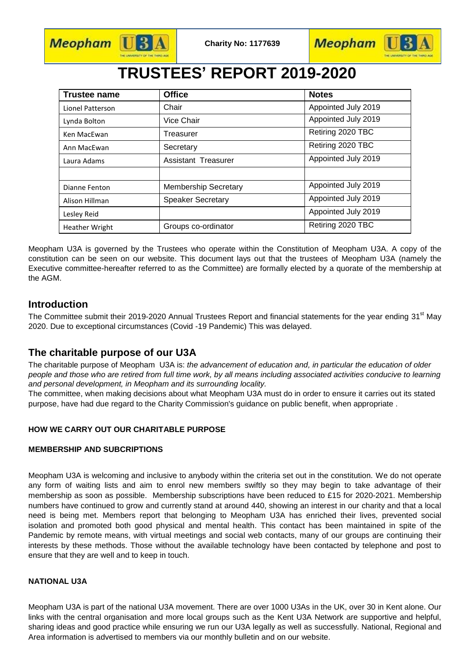

**Meopham** U



# **TRUSTEES' REPORT 2019-2020**

| <b>Trustee name</b>   | <b>Office</b>               | <b>Notes</b>        |
|-----------------------|-----------------------------|---------------------|
| Lionel Patterson      | Chair                       | Appointed July 2019 |
| Lynda Bolton          | Vice Chair                  | Appointed July 2019 |
| Ken MacEwan           | Treasurer                   | Retiring 2020 TBC   |
| Ann MacEwan           | Secretary                   | Retiring 2020 TBC   |
| Laura Adams           | Assistant Treasurer         | Appointed July 2019 |
|                       |                             |                     |
| Dianne Fenton         | <b>Membership Secretary</b> | Appointed July 2019 |
| Alison Hillman        | <b>Speaker Secretary</b>    | Appointed July 2019 |
| Lesley Reid           |                             | Appointed July 2019 |
| <b>Heather Wright</b> | Groups co-ordinator         | Retiring 2020 TBC   |

Meopham U3A is governed by the Trustees who operate within the Constitution of Meopham U3A. A copy of the constitution can be seen on our website. This document lays out that the trustees of Meopham U3A (namely the Executive committee-hereafter referred to as the Committee) are formally elected by a quorate of the membership at the AGM.

## **Introduction**

The Committee submit their 2019-2020 Annual Trustees Report and financial statements for the year ending 31<sup>st</sup> May 2020. Due to exceptional circumstances (Covid -19 Pandemic) This was delayed.

## **The charitable purpose of our U3A**

The charitable purpose of Meopham U3A is: *the advancement of education and, in particular the education of older people and those who are retired from full time work, by all means including associated activities conducive to learning and personal development, in Meopham and its surrounding locality.*

The committee, when making decisions about what Meopham U3A must do in order to ensure it carries out its stated purpose, have had due regard to the Charity Commission's guidance on public benefit, when appropriate .

### **HOW WE CARRY OUT OUR CHARITABLE PURPOSE**

#### **MEMBERSHIP AND SUBCRIPTIONS**

Meopham U3A is welcoming and inclusive to anybody within the criteria set out in the constitution. We do not operate any form of waiting lists and aim to enrol new members swiftly so they may begin to take advantage of their membership as soon as possible. Membership subscriptions have been reduced to £15 for 2020-2021. Membership numbers have continued to grow and currently stand at around 440, showing an interest in our charity and that a local need is being met. Members report that belonging to Meopham U3A has enriched their lives, prevented social isolation and promoted both good physical and mental health. This contact has been maintained in spite of the Pandemic by remote means, with virtual meetings and social web contacts, many of our groups are continuing their interests by these methods. Those without the available technology have been contacted by telephone and post to ensure that they are well and to keep in touch.

#### **NATIONAL U3A**

Meopham U3A is part of the national U3A movement. There are over 1000 U3As in the UK, over 30 in Kent alone. Our links with the central organisation and more local groups such as the Kent U3A Network are supportive and helpful, sharing ideas and good practice while ensuring we run our U3A legally as well as successfully. National, Regional and Area information is advertised to members via our monthly bulletin and on our website.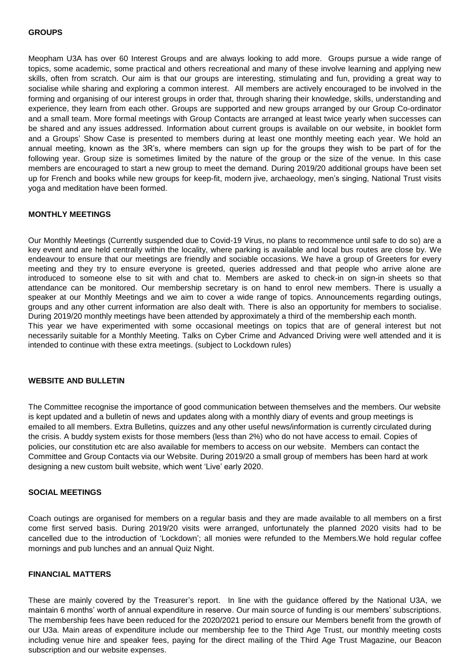#### **GROUPS**

Meopham U3A has over 60 Interest Groups and are always looking to add more. Groups pursue a wide range of topics, some academic, some practical and others recreational and many of these involve learning and applying new skills, often from scratch. Our aim is that our groups are interesting, stimulating and fun, providing a great way to socialise while sharing and exploring a common interest. All members are actively encouraged to be involved in the forming and organising of our interest groups in order that, through sharing their knowledge, skills, understanding and experience, they learn from each other. Groups are supported and new groups arranged by our Group Co-ordinator and a small team. More formal meetings with Group Contacts are arranged at least twice yearly when successes can be shared and any issues addressed. Information about current groups is available on our website, in booklet form and a Groups' Show Case is presented to members during at least one monthly meeting each year. We hold an annual meeting, known as the 3R's, where members can sign up for the groups they wish to be part of for the following year. Group size is sometimes limited by the nature of the group or the size of the venue. In this case members are encouraged to start a new group to meet the demand. During 2019/20 additional groups have been set up for French and books while new groups for keep-fit, modern jive, archaeology, men's singing, National Trust visits yoga and meditation have been formed.

#### **MONTHLY MEETINGS**

Our Monthly Meetings (Currently suspended due to Covid-19 Virus, no plans to recommence until safe to do so) are a key event and are held centrally within the locality, where parking is available and local bus routes are close by. We endeavour to ensure that our meetings are friendly and sociable occasions. We have a group of Greeters for every meeting and they try to ensure everyone is greeted, queries addressed and that people who arrive alone are introduced to someone else to sit with and chat to. Members are asked to check-in on sign-in sheets so that attendance can be monitored. Our membership secretary is on hand to enrol new members. There is usually a speaker at our Monthly Meetings and we aim to cover a wide range of topics. Announcements regarding outings, groups and any other current information are also dealt with. There is also an opportunity for members to socialise. During 2019/20 monthly meetings have been attended by approximately a third of the membership each month. This year we have experimented with some occasional meetings on topics that are of general interest but not necessarily suitable for a Monthly Meeting. Talks on Cyber Crime and Advanced Driving were well attended and it is intended to continue with these extra meetings. (subject to Lockdown rules)

#### **WEBSITE AND BULLETIN**

The Committee recognise the importance of good communication between themselves and the members. Our website is kept updated and a bulletin of news and updates along with a monthly diary of events and group meetings is emailed to all members. Extra Bulletins, quizzes and any other useful news/information is currently circulated during the crisis. A buddy system exists for those members (less than 2%) who do not have access to email. Copies of policies, our constitution etc are also available for members to access on our website. Members can contact the Committee and Group Contacts via our Website. During 2019/20 a small group of members has been hard at work designing a new custom built website, which went 'Live' early 2020.

#### **SOCIAL MEETINGS**

Coach outings are organised for members on a regular basis and they are made available to all members on a first come first served basis. During 2019/20 visits were arranged, unfortunately the planned 2020 visits had to be cancelled due to the introduction of 'Lockdown'; all monies were refunded to the Members.We hold regular coffee mornings and pub lunches and an annual Quiz Night.

#### **FINANCIAL MATTERS**

These are mainly covered by the Treasurer's report. In line with the guidance offered by the National U3A, we maintain 6 months' worth of annual expenditure in reserve. Our main source of funding is our members' subscriptions. The membership fees have been reduced for the 2020/2021 period to ensure our Members benefit from the growth of our U3a. Main areas of expenditure include our membership fee to the Third Age Trust, our monthly meeting costs including venue hire and speaker fees, paying for the direct mailing of the Third Age Trust Magazine, our Beacon subscription and our website expenses.